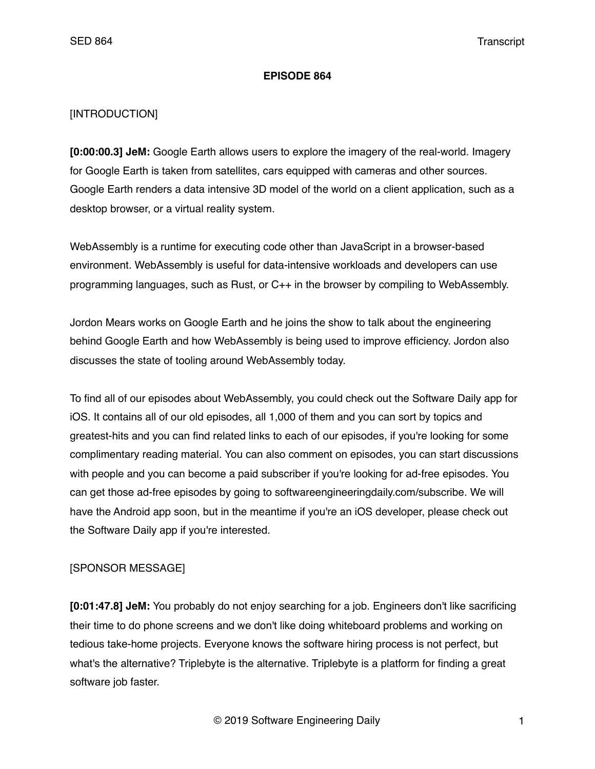## **EPISODE 864**

## [INTRODUCTION]

**[0:00:00.3] JeM:** Google Earth allows users to explore the imagery of the real-world. Imagery for Google Earth is taken from satellites, cars equipped with cameras and other sources. Google Earth renders a data intensive 3D model of the world on a client application, such as a desktop browser, or a virtual reality system.

WebAssembly is a runtime for executing code other than JavaScript in a browser-based environment. WebAssembly is useful for data-intensive workloads and developers can use programming languages, such as Rust, or C++ in the browser by compiling to WebAssembly.

Jordon Mears works on Google Earth and he joins the show to talk about the engineering behind Google Earth and how WebAssembly is being used to improve efficiency. Jordon also discusses the state of tooling around WebAssembly today.

To find all of our episodes about WebAssembly, you could check out the Software Daily app for iOS. It contains all of our old episodes, all 1,000 of them and you can sort by topics and greatest-hits and you can find related links to each of our episodes, if you're looking for some complimentary reading material. You can also comment on episodes, you can start discussions with people and you can become a paid subscriber if you're looking for ad-free episodes. You can get those ad-free episodes by going to softwareengineeringdaily.com/subscribe. We will have the Android app soon, but in the meantime if you're an iOS developer, please check out the Software Daily app if you're interested.

## [SPONSOR MESSAGE]

**[0:01:47.8] JeM:** You probably do not enjoy searching for a job. Engineers don't like sacrificing their time to do phone screens and we don't like doing whiteboard problems and working on tedious take-home projects. Everyone knows the software hiring process is not perfect, but what's the alternative? Triplebyte is the alternative. Triplebyte is a platform for finding a great software job faster.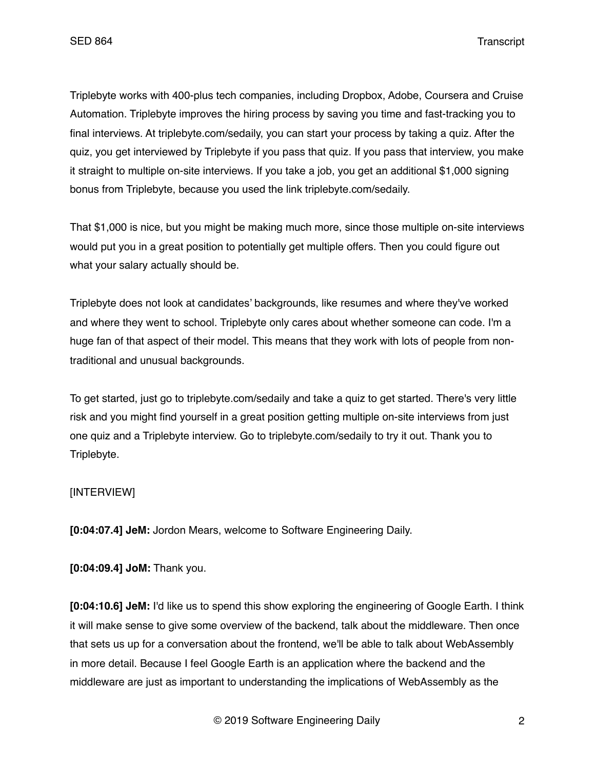Triplebyte works with 400-plus tech companies, including Dropbox, Adobe, Coursera and Cruise Automation. Triplebyte improves the hiring process by saving you time and fast-tracking you to final interviews. At triplebyte.com/sedaily, you can start your process by taking a quiz. After the quiz, you get interviewed by Triplebyte if you pass that quiz. If you pass that interview, you make it straight to multiple on-site interviews. If you take a job, you get an additional \$1,000 signing bonus from Triplebyte, because you used the link triplebyte.com/sedaily.

That \$1,000 is nice, but you might be making much more, since those multiple on-site interviews would put you in a great position to potentially get multiple offers. Then you could figure out what your salary actually should be.

Triplebyte does not look at candidates' backgrounds, like resumes and where they've worked and where they went to school. Triplebyte only cares about whether someone can code. I'm a huge fan of that aspect of their model. This means that they work with lots of people from nontraditional and unusual backgrounds.

To get started, just go to triplebyte.com/sedaily and take a quiz to get started. There's very little risk and you might find yourself in a great position getting multiple on-site interviews from just one quiz and a Triplebyte interview. Go to triplebyte.com/sedaily to try it out. Thank you to Triplebyte.

# [INTERVIEW]

**[0:04:07.4] JeM:** Jordon Mears, welcome to Software Engineering Daily.

**[0:04:09.4] JoM:** Thank you.

**[0:04:10.6] JeM:** I'd like us to spend this show exploring the engineering of Google Earth. I think it will make sense to give some overview of the backend, talk about the middleware. Then once that sets us up for a conversation about the frontend, we'll be able to talk about WebAssembly in more detail. Because I feel Google Earth is an application where the backend and the middleware are just as important to understanding the implications of WebAssembly as the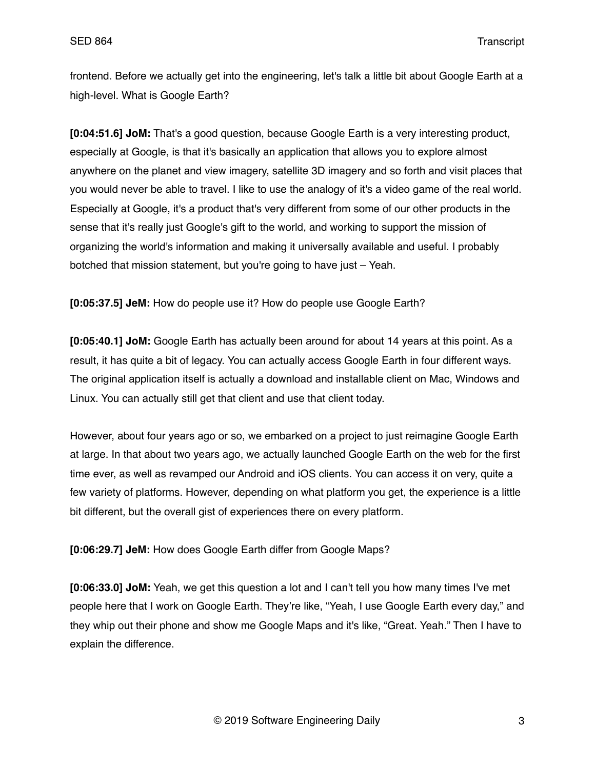frontend. Before we actually get into the engineering, let's talk a little bit about Google Earth at a high-level. What is Google Earth?

**[0:04:51.6] JoM:** That's a good question, because Google Earth is a very interesting product, especially at Google, is that it's basically an application that allows you to explore almost anywhere on the planet and view imagery, satellite 3D imagery and so forth and visit places that you would never be able to travel. I like to use the analogy of it's a video game of the real world. Especially at Google, it's a product that's very different from some of our other products in the sense that it's really just Google's gift to the world, and working to support the mission of organizing the world's information and making it universally available and useful. I probably botched that mission statement, but you're going to have just – Yeah.

**[0:05:37.5] JeM:** How do people use it? How do people use Google Earth?

**[0:05:40.1] JoM:** Google Earth has actually been around for about 14 years at this point. As a result, it has quite a bit of legacy. You can actually access Google Earth in four different ways. The original application itself is actually a download and installable client on Mac, Windows and Linux. You can actually still get that client and use that client today.

However, about four years ago or so, we embarked on a project to just reimagine Google Earth at large. In that about two years ago, we actually launched Google Earth on the web for the first time ever, as well as revamped our Android and iOS clients. You can access it on very, quite a few variety of platforms. However, depending on what platform you get, the experience is a little bit different, but the overall gist of experiences there on every platform.

**[0:06:29.7] JeM:** How does Google Earth differ from Google Maps?

**[0:06:33.0] JoM:** Yeah, we get this question a lot and I can't tell you how many times I've met people here that I work on Google Earth. They're like, "Yeah, I use Google Earth every day," and they whip out their phone and show me Google Maps and it's like, "Great. Yeah." Then I have to explain the difference.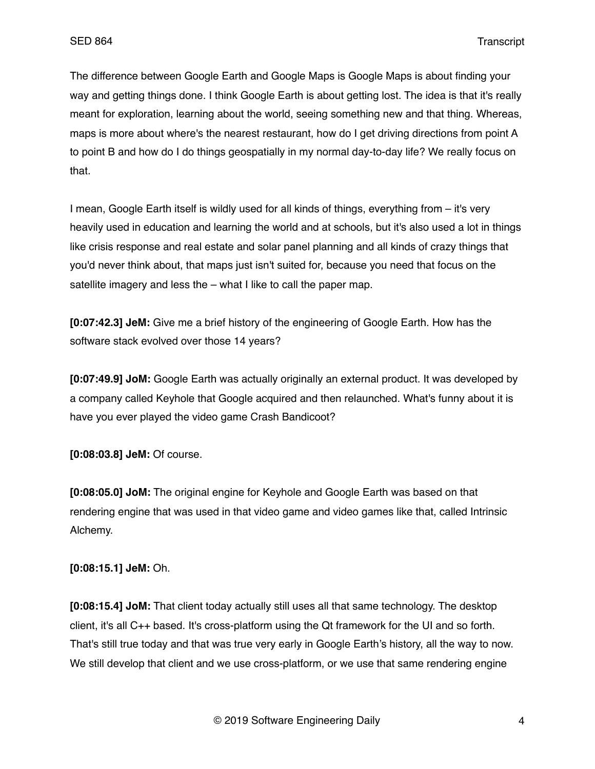The difference between Google Earth and Google Maps is Google Maps is about finding your way and getting things done. I think Google Earth is about getting lost. The idea is that it's really meant for exploration, learning about the world, seeing something new and that thing. Whereas, maps is more about where's the nearest restaurant, how do I get driving directions from point A to point B and how do I do things geospatially in my normal day-to-day life? We really focus on that.

I mean, Google Earth itself is wildly used for all kinds of things, everything from – it's very heavily used in education and learning the world and at schools, but it's also used a lot in things like crisis response and real estate and solar panel planning and all kinds of crazy things that you'd never think about, that maps just isn't suited for, because you need that focus on the satellite imagery and less the – what I like to call the paper map.

**[0:07:42.3] JeM:** Give me a brief history of the engineering of Google Earth. How has the software stack evolved over those 14 years?

**[0:07:49.9] JoM:** Google Earth was actually originally an external product. It was developed by a company called Keyhole that Google acquired and then relaunched. What's funny about it is have you ever played the video game Crash Bandicoot?

**[0:08:03.8] JeM:** Of course.

**[0:08:05.0] JoM:** The original engine for Keyhole and Google Earth was based on that rendering engine that was used in that video game and video games like that, called Intrinsic Alchemy.

**[0:08:15.1] JeM:** Oh.

**[0:08:15.4] JoM:** That client today actually still uses all that same technology. The desktop client, it's all C++ based. It's cross-platform using the Qt framework for the UI and so forth. That's still true today and that was true very early in Google Earth's history, all the way to now. We still develop that client and we use cross-platform, or we use that same rendering engine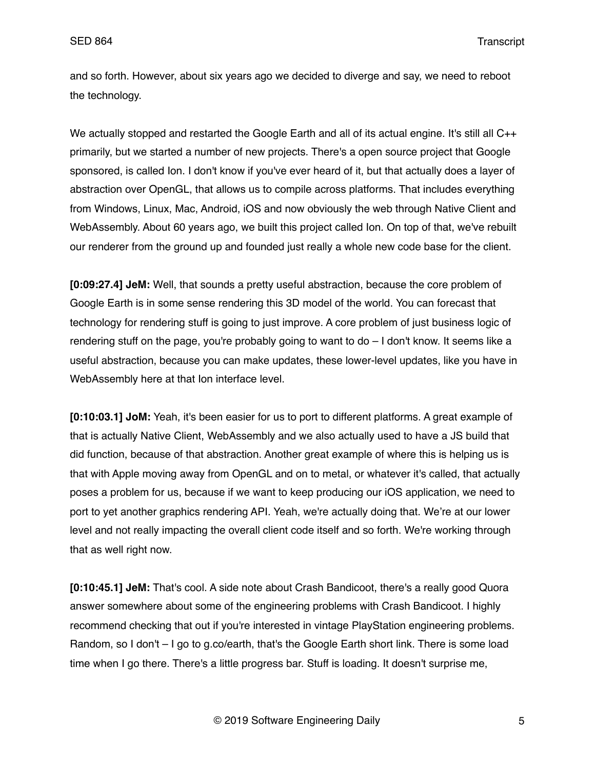and so forth. However, about six years ago we decided to diverge and say, we need to reboot the technology.

We actually stopped and restarted the Google Earth and all of its actual engine. It's still all C++ primarily, but we started a number of new projects. There's a open source project that Google sponsored, is called Ion. I don't know if you've ever heard of it, but that actually does a layer of abstraction over OpenGL, that allows us to compile across platforms. That includes everything from Windows, Linux, Mac, Android, iOS and now obviously the web through Native Client and WebAssembly. About 60 years ago, we built this project called Ion. On top of that, we've rebuilt our renderer from the ground up and founded just really a whole new code base for the client.

**[0:09:27.4] JeM:** Well, that sounds a pretty useful abstraction, because the core problem of Google Earth is in some sense rendering this 3D model of the world. You can forecast that technology for rendering stuff is going to just improve. A core problem of just business logic of rendering stuff on the page, you're probably going to want to do – I don't know. It seems like a useful abstraction, because you can make updates, these lower-level updates, like you have in WebAssembly here at that Ion interface level.

**[0:10:03.1] JoM:** Yeah, it's been easier for us to port to different platforms. A great example of that is actually Native Client, WebAssembly and we also actually used to have a JS build that did function, because of that abstraction. Another great example of where this is helping us is that with Apple moving away from OpenGL and on to metal, or whatever it's called, that actually poses a problem for us, because if we want to keep producing our iOS application, we need to port to yet another graphics rendering API. Yeah, we're actually doing that. We're at our lower level and not really impacting the overall client code itself and so forth. We're working through that as well right now.

**[0:10:45.1] JeM:** That's cool. A side note about Crash Bandicoot, there's a really good Quora answer somewhere about some of the engineering problems with Crash Bandicoot. I highly recommend checking that out if you're interested in vintage PlayStation engineering problems. Random, so I don't – I go to g.co/earth, that's the Google Earth short link. There is some load time when I go there. There's a little progress bar. Stuff is loading. It doesn't surprise me,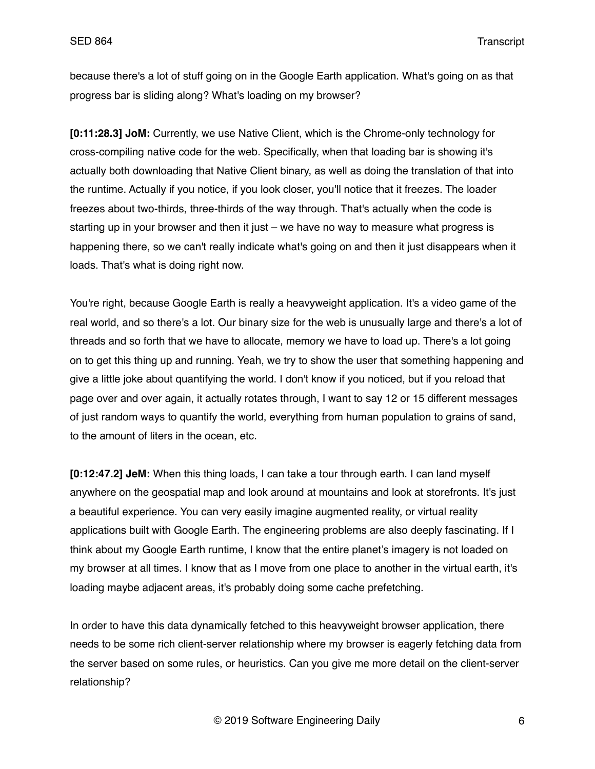because there's a lot of stuff going on in the Google Earth application. What's going on as that progress bar is sliding along? What's loading on my browser?

**[0:11:28.3] JoM:** Currently, we use Native Client, which is the Chrome-only technology for cross-compiling native code for the web. Specifically, when that loading bar is showing it's actually both downloading that Native Client binary, as well as doing the translation of that into the runtime. Actually if you notice, if you look closer, you'll notice that it freezes. The loader freezes about two-thirds, three-thirds of the way through. That's actually when the code is starting up in your browser and then it just – we have no way to measure what progress is happening there, so we can't really indicate what's going on and then it just disappears when it loads. That's what is doing right now.

You're right, because Google Earth is really a heavyweight application. It's a video game of the real world, and so there's a lot. Our binary size for the web is unusually large and there's a lot of threads and so forth that we have to allocate, memory we have to load up. There's a lot going on to get this thing up and running. Yeah, we try to show the user that something happening and give a little joke about quantifying the world. I don't know if you noticed, but if you reload that page over and over again, it actually rotates through, I want to say 12 or 15 different messages of just random ways to quantify the world, everything from human population to grains of sand, to the amount of liters in the ocean, etc.

**[0:12:47.2] JeM:** When this thing loads, I can take a tour through earth. I can land myself anywhere on the geospatial map and look around at mountains and look at storefronts. It's just a beautiful experience. You can very easily imagine augmented reality, or virtual reality applications built with Google Earth. The engineering problems are also deeply fascinating. If I think about my Google Earth runtime, I know that the entire planet's imagery is not loaded on my browser at all times. I know that as I move from one place to another in the virtual earth, it's loading maybe adjacent areas, it's probably doing some cache prefetching.

In order to have this data dynamically fetched to this heavyweight browser application, there needs to be some rich client-server relationship where my browser is eagerly fetching data from the server based on some rules, or heuristics. Can you give me more detail on the client-server relationship?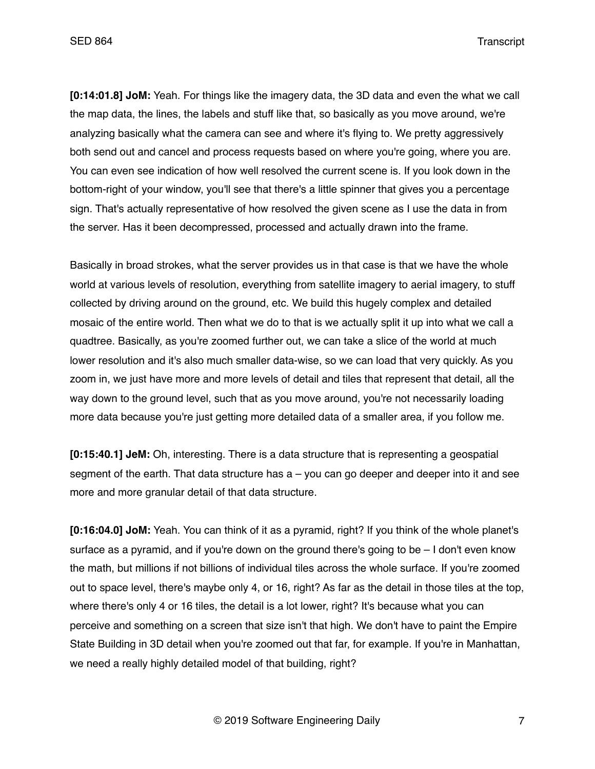**[0:14:01.8] JoM:** Yeah. For things like the imagery data, the 3D data and even the what we call the map data, the lines, the labels and stuff like that, so basically as you move around, we're analyzing basically what the camera can see and where it's flying to. We pretty aggressively both send out and cancel and process requests based on where you're going, where you are. You can even see indication of how well resolved the current scene is. If you look down in the bottom-right of your window, you'll see that there's a little spinner that gives you a percentage sign. That's actually representative of how resolved the given scene as I use the data in from the server. Has it been decompressed, processed and actually drawn into the frame.

Basically in broad strokes, what the server provides us in that case is that we have the whole world at various levels of resolution, everything from satellite imagery to aerial imagery, to stuff collected by driving around on the ground, etc. We build this hugely complex and detailed mosaic of the entire world. Then what we do to that is we actually split it up into what we call a quadtree. Basically, as you're zoomed further out, we can take a slice of the world at much lower resolution and it's also much smaller data-wise, so we can load that very quickly. As you zoom in, we just have more and more levels of detail and tiles that represent that detail, all the way down to the ground level, such that as you move around, you're not necessarily loading more data because you're just getting more detailed data of a smaller area, if you follow me.

**[0:15:40.1] JeM:** Oh, interesting. There is a data structure that is representing a geospatial segment of the earth. That data structure has  $a - y$  can go deeper and deeper into it and see more and more granular detail of that data structure.

**[0:16:04.0] JoM:** Yeah. You can think of it as a pyramid, right? If you think of the whole planet's surface as a pyramid, and if you're down on the ground there's going to be  $-1$  don't even know the math, but millions if not billions of individual tiles across the whole surface. If you're zoomed out to space level, there's maybe only 4, or 16, right? As far as the detail in those tiles at the top, where there's only 4 or 16 tiles, the detail is a lot lower, right? It's because what you can perceive and something on a screen that size isn't that high. We don't have to paint the Empire State Building in 3D detail when you're zoomed out that far, for example. If you're in Manhattan, we need a really highly detailed model of that building, right?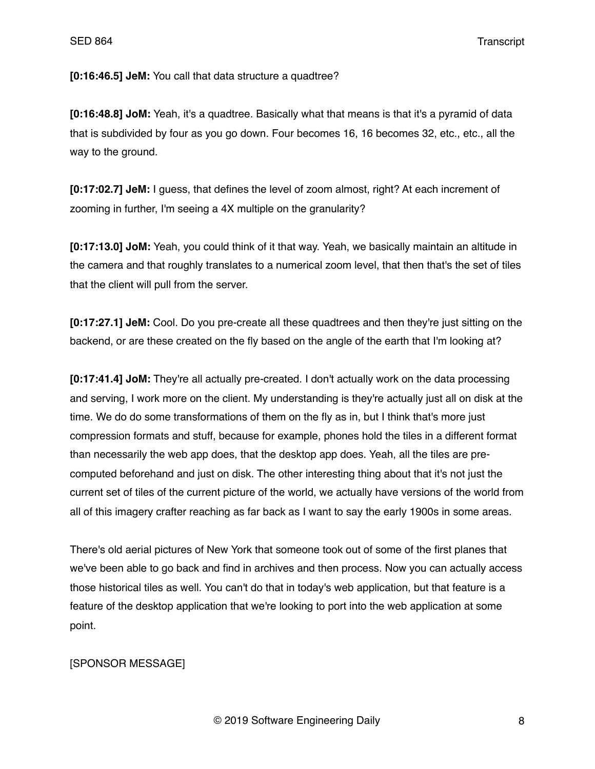**[0:16:46.5] JeM:** You call that data structure a quadtree?

**[0:16:48.8] JoM:** Yeah, it's a quadtree. Basically what that means is that it's a pyramid of data that is subdivided by four as you go down. Four becomes 16, 16 becomes 32, etc., etc., all the way to the ground.

**[0:17:02.7] JeM:** I guess, that defines the level of zoom almost, right? At each increment of zooming in further, I'm seeing a 4X multiple on the granularity?

**[0:17:13.0] JoM:** Yeah, you could think of it that way. Yeah, we basically maintain an altitude in the camera and that roughly translates to a numerical zoom level, that then that's the set of tiles that the client will pull from the server.

**[0:17:27.1] JeM:** Cool. Do you pre-create all these quadtrees and then they're just sitting on the backend, or are these created on the fly based on the angle of the earth that I'm looking at?

**[0:17:41.4] JoM:** They're all actually pre-created. I don't actually work on the data processing and serving, I work more on the client. My understanding is they're actually just all on disk at the time. We do do some transformations of them on the fly as in, but I think that's more just compression formats and stuff, because for example, phones hold the tiles in a different format than necessarily the web app does, that the desktop app does. Yeah, all the tiles are precomputed beforehand and just on disk. The other interesting thing about that it's not just the current set of tiles of the current picture of the world, we actually have versions of the world from all of this imagery crafter reaching as far back as I want to say the early 1900s in some areas.

There's old aerial pictures of New York that someone took out of some of the first planes that we've been able to go back and find in archives and then process. Now you can actually access those historical tiles as well. You can't do that in today's web application, but that feature is a feature of the desktop application that we're looking to port into the web application at some point.

# [SPONSOR MESSAGE]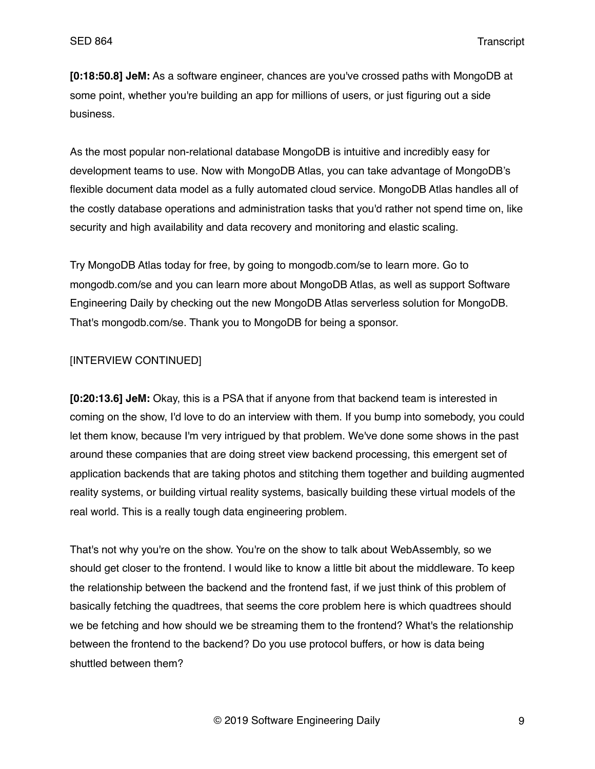**[0:18:50.8] JeM:** As a software engineer, chances are you've crossed paths with MongoDB at some point, whether you're building an app for millions of users, or just figuring out a side business.

As the most popular non-relational database MongoDB is intuitive and incredibly easy for development teams to use. Now with MongoDB Atlas, you can take advantage of MongoDB's flexible document data model as a fully automated cloud service. MongoDB Atlas handles all of the costly database operations and administration tasks that you'd rather not spend time on, like security and high availability and data recovery and monitoring and elastic scaling.

Try MongoDB Atlas today for free, by going to mongodb.com/se to learn more. Go to mongodb.com/se and you can learn more about MongoDB Atlas, as well as support Software Engineering Daily by checking out the new MongoDB Atlas serverless solution for MongoDB. That's mongodb.com/se. Thank you to MongoDB for being a sponsor.

## [INTERVIEW CONTINUED]

**[0:20:13.6] JeM:** Okay, this is a PSA that if anyone from that backend team is interested in coming on the show, I'd love to do an interview with them. If you bump into somebody, you could let them know, because I'm very intrigued by that problem. We've done some shows in the past around these companies that are doing street view backend processing, this emergent set of application backends that are taking photos and stitching them together and building augmented reality systems, or building virtual reality systems, basically building these virtual models of the real world. This is a really tough data engineering problem.

That's not why you're on the show. You're on the show to talk about WebAssembly, so we should get closer to the frontend. I would like to know a little bit about the middleware. To keep the relationship between the backend and the frontend fast, if we just think of this problem of basically fetching the quadtrees, that seems the core problem here is which quadtrees should we be fetching and how should we be streaming them to the frontend? What's the relationship between the frontend to the backend? Do you use protocol buffers, or how is data being shuttled between them?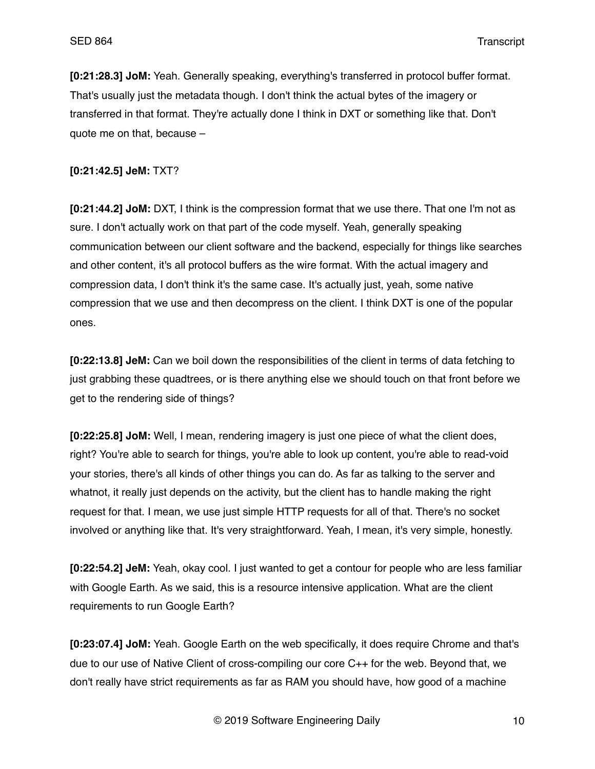**[0:21:28.3] JoM:** Yeah. Generally speaking, everything's transferred in protocol buffer format. That's usually just the metadata though. I don't think the actual bytes of the imagery or transferred in that format. They're actually done I think in DXT or something like that. Don't quote me on that, because –

## **[0:21:42.5] JeM:** TXT?

**[0:21:44.2] JoM:** DXT, I think is the compression format that we use there. That one I'm not as sure. I don't actually work on that part of the code myself. Yeah, generally speaking communication between our client software and the backend, especially for things like searches and other content, it's all protocol buffers as the wire format. With the actual imagery and compression data, I don't think it's the same case. It's actually just, yeah, some native compression that we use and then decompress on the client. I think DXT is one of the popular ones.

**[0:22:13.8] JeM:** Can we boil down the responsibilities of the client in terms of data fetching to just grabbing these quadtrees, or is there anything else we should touch on that front before we get to the rendering side of things?

**[0:22:25.8] JoM:** Well, I mean, rendering imagery is just one piece of what the client does, right? You're able to search for things, you're able to look up content, you're able to read-void your stories, there's all kinds of other things you can do. As far as talking to the server and whatnot, it really just depends on the activity, but the client has to handle making the right request for that. I mean, we use just simple HTTP requests for all of that. There's no socket involved or anything like that. It's very straightforward. Yeah, I mean, it's very simple, honestly.

**[0:22:54.2] JeM:** Yeah, okay cool. I just wanted to get a contour for people who are less familiar with Google Earth. As we said, this is a resource intensive application. What are the client requirements to run Google Earth?

**[0:23:07.4] JoM:** Yeah. Google Earth on the web specifically, it does require Chrome and that's due to our use of Native Client of cross-compiling our core C++ for the web. Beyond that, we don't really have strict requirements as far as RAM you should have, how good of a machine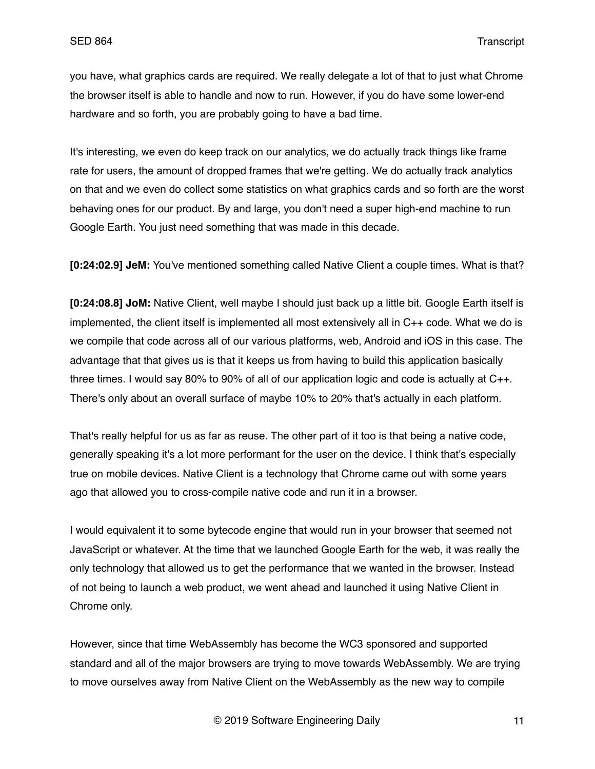you have, what graphics cards are required. We really delegate a lot of that to just what Chrome the browser itself is able to handle and now to run. However, if you do have some lower-end hardware and so forth, you are probably going to have a bad time.

It's interesting, we even do keep track on our analytics, we do actually track things like frame rate for users, the amount of dropped frames that we're getting. We do actually track analytics on that and we even do collect some statistics on what graphics cards and so forth are the worst behaving ones for our product. By and large, you don't need a super high-end machine to run Google Earth. You just need something that was made in this decade.

**[0:24:02.9] JeM:** You've mentioned something called Native Client a couple times. What is that?

**[0:24:08.8] JoM:** Native Client, well maybe I should just back up a little bit. Google Earth itself is implemented, the client itself is implemented all most extensively all in C++ code. What we do is we compile that code across all of our various platforms, web, Android and iOS in this case. The advantage that that gives us is that it keeps us from having to build this application basically three times. I would say 80% to 90% of all of our application logic and code is actually at C++. There's only about an overall surface of maybe 10% to 20% that's actually in each platform.

That's really helpful for us as far as reuse. The other part of it too is that being a native code, generally speaking it's a lot more performant for the user on the device. I think that's especially true on mobile devices. Native Client is a technology that Chrome came out with some years ago that allowed you to cross-compile native code and run it in a browser.

I would equivalent it to some bytecode engine that would run in your browser that seemed not JavaScript or whatever. At the time that we launched Google Earth for the web, it was really the only technology that allowed us to get the performance that we wanted in the browser. Instead of not being to launch a web product, we went ahead and launched it using Native Client in Chrome only.

However, since that time WebAssembly has become the WC3 sponsored and supported standard and all of the major browsers are trying to move towards WebAssembly. We are trying to move ourselves away from Native Client on the WebAssembly as the new way to compile

© 2019 Software Engineering Daily 11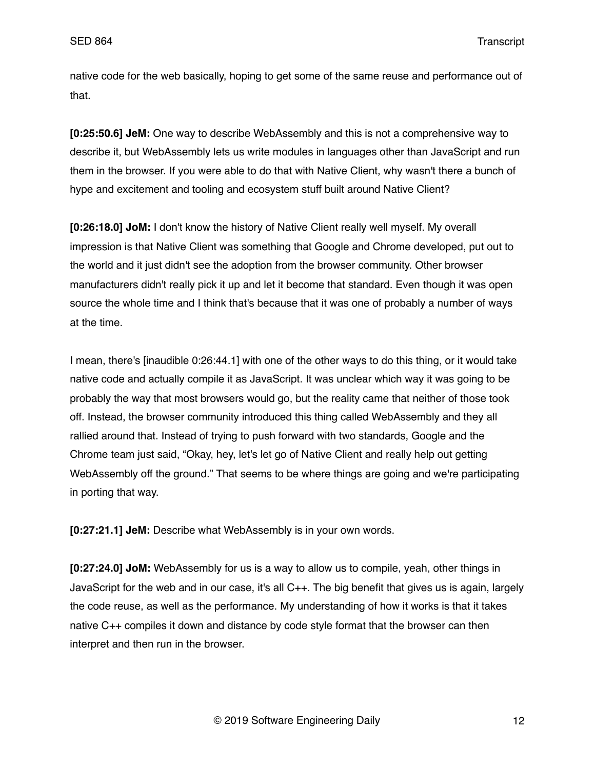native code for the web basically, hoping to get some of the same reuse and performance out of that.

**[0:25:50.6] JeM:** One way to describe WebAssembly and this is not a comprehensive way to describe it, but WebAssembly lets us write modules in languages other than JavaScript and run them in the browser. If you were able to do that with Native Client, why wasn't there a bunch of hype and excitement and tooling and ecosystem stuff built around Native Client?

**[0:26:18.0] JoM:** I don't know the history of Native Client really well myself. My overall impression is that Native Client was something that Google and Chrome developed, put out to the world and it just didn't see the adoption from the browser community. Other browser manufacturers didn't really pick it up and let it become that standard. Even though it was open source the whole time and I think that's because that it was one of probably a number of ways at the time.

I mean, there's [inaudible 0:26:44.1] with one of the other ways to do this thing, or it would take native code and actually compile it as JavaScript. It was unclear which way it was going to be probably the way that most browsers would go, but the reality came that neither of those took off. Instead, the browser community introduced this thing called WebAssembly and they all rallied around that. Instead of trying to push forward with two standards, Google and the Chrome team just said, "Okay, hey, let's let go of Native Client and really help out getting WebAssembly off the ground." That seems to be where things are going and we're participating in porting that way.

**[0:27:21.1] JeM:** Describe what WebAssembly is in your own words.

**[0:27:24.0] JoM:** WebAssembly for us is a way to allow us to compile, yeah, other things in JavaScript for the web and in our case, it's all C++. The big benefit that gives us is again, largely the code reuse, as well as the performance. My understanding of how it works is that it takes native C++ compiles it down and distance by code style format that the browser can then interpret and then run in the browser.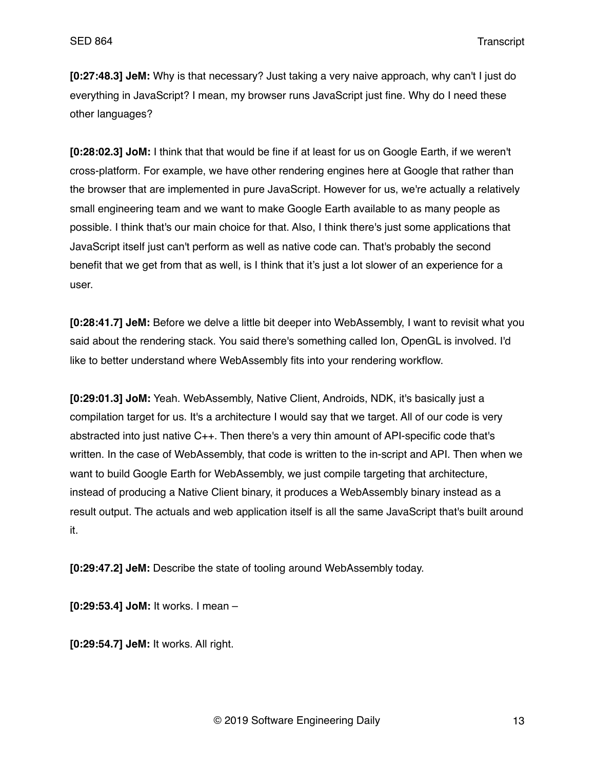**[0:27:48.3] JeM:** Why is that necessary? Just taking a very naive approach, why can't I just do everything in JavaScript? I mean, my browser runs JavaScript just fine. Why do I need these other languages?

**[0:28:02.3] JoM:** I think that that would be fine if at least for us on Google Earth, if we weren't cross-platform. For example, we have other rendering engines here at Google that rather than the browser that are implemented in pure JavaScript. However for us, we're actually a relatively small engineering team and we want to make Google Earth available to as many people as possible. I think that's our main choice for that. Also, I think there's just some applications that JavaScript itself just can't perform as well as native code can. That's probably the second benefit that we get from that as well, is I think that it's just a lot slower of an experience for a user.

**[0:28:41.7] JeM:** Before we delve a little bit deeper into WebAssembly, I want to revisit what you said about the rendering stack. You said there's something called Ion, OpenGL is involved. I'd like to better understand where WebAssembly fits into your rendering workflow.

**[0:29:01.3] JoM:** Yeah. WebAssembly, Native Client, Androids, NDK, it's basically just a compilation target for us. It's a architecture I would say that we target. All of our code is very abstracted into just native C++. Then there's a very thin amount of API-specific code that's written. In the case of WebAssembly, that code is written to the in-script and API. Then when we want to build Google Earth for WebAssembly, we just compile targeting that architecture, instead of producing a Native Client binary, it produces a WebAssembly binary instead as a result output. The actuals and web application itself is all the same JavaScript that's built around it.

**[0:29:47.2] JeM:** Describe the state of tooling around WebAssembly today.

**[0:29:53.4] JoM:** It works. I mean –

**[0:29:54.7] JeM:** It works. All right.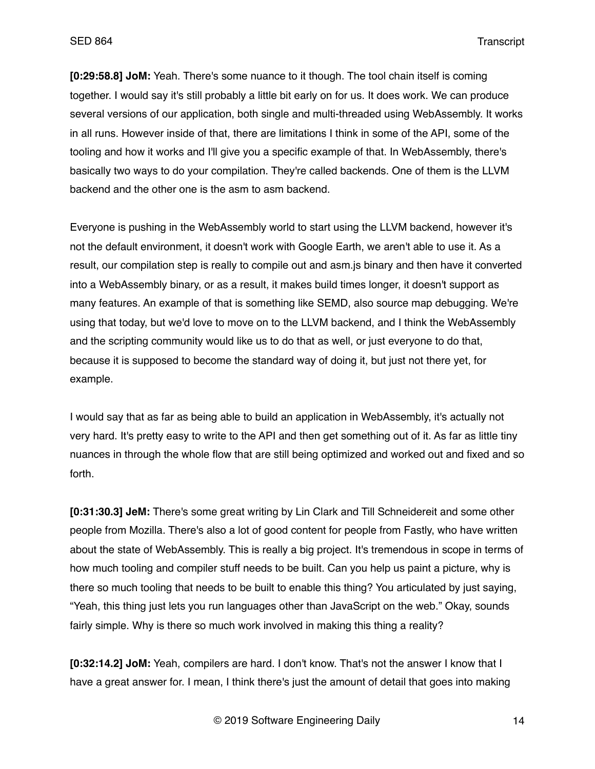**[0:29:58.8] JoM:** Yeah. There's some nuance to it though. The tool chain itself is coming together. I would say it's still probably a little bit early on for us. It does work. We can produce several versions of our application, both single and multi-threaded using WebAssembly. It works in all runs. However inside of that, there are limitations I think in some of the API, some of the tooling and how it works and I'll give you a specific example of that. In WebAssembly, there's basically two ways to do your compilation. They're called backends. One of them is the LLVM backend and the other one is the asm to asm backend.

Everyone is pushing in the WebAssembly world to start using the LLVM backend, however it's not the default environment, it doesn't work with Google Earth, we aren't able to use it. As a result, our compilation step is really to compile out and asm.js binary and then have it converted into a WebAssembly binary, or as a result, it makes build times longer, it doesn't support as many features. An example of that is something like SEMD, also source map debugging. We're using that today, but we'd love to move on to the LLVM backend, and I think the WebAssembly and the scripting community would like us to do that as well, or just everyone to do that, because it is supposed to become the standard way of doing it, but just not there yet, for example.

I would say that as far as being able to build an application in WebAssembly, it's actually not very hard. It's pretty easy to write to the API and then get something out of it. As far as little tiny nuances in through the whole flow that are still being optimized and worked out and fixed and so forth.

**[0:31:30.3] JeM:** There's some great writing by Lin Clark and Till Schneidereit and some other people from Mozilla. There's also a lot of good content for people from Fastly, who have written about the state of WebAssembly. This is really a big project. It's tremendous in scope in terms of how much tooling and compiler stuff needs to be built. Can you help us paint a picture, why is there so much tooling that needs to be built to enable this thing? You articulated by just saying, "Yeah, this thing just lets you run languages other than JavaScript on the web." Okay, sounds fairly simple. Why is there so much work involved in making this thing a reality?

**[0:32:14.2] JoM:** Yeah, compilers are hard. I don't know. That's not the answer I know that I have a great answer for. I mean, I think there's just the amount of detail that goes into making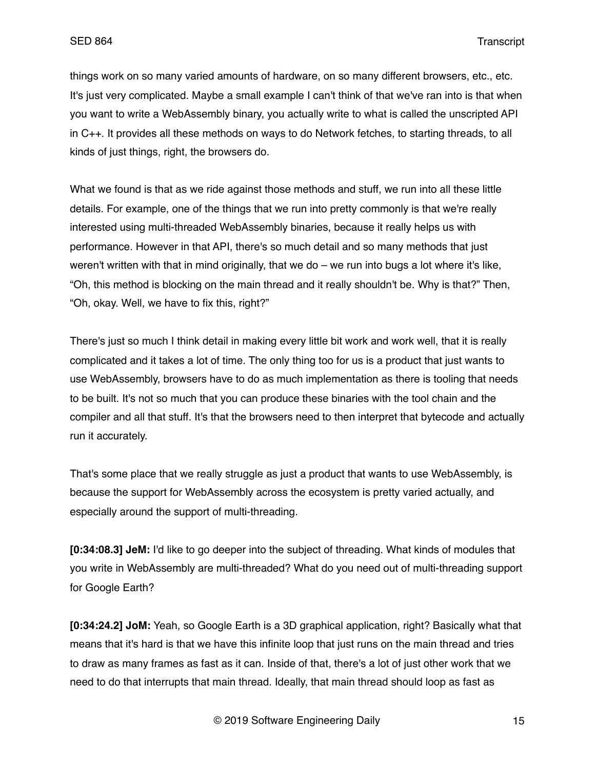things work on so many varied amounts of hardware, on so many different browsers, etc., etc. It's just very complicated. Maybe a small example I can't think of that we've ran into is that when you want to write a WebAssembly binary, you actually write to what is called the unscripted API in C++. It provides all these methods on ways to do Network fetches, to starting threads, to all kinds of just things, right, the browsers do.

What we found is that as we ride against those methods and stuff, we run into all these little details. For example, one of the things that we run into pretty commonly is that we're really interested using multi-threaded WebAssembly binaries, because it really helps us with performance. However in that API, there's so much detail and so many methods that just weren't written with that in mind originally, that we do – we run into bugs a lot where it's like, "Oh, this method is blocking on the main thread and it really shouldn't be. Why is that?" Then, "Oh, okay. Well, we have to fix this, right?"

There's just so much I think detail in making every little bit work and work well, that it is really complicated and it takes a lot of time. The only thing too for us is a product that just wants to use WebAssembly, browsers have to do as much implementation as there is tooling that needs to be built. It's not so much that you can produce these binaries with the tool chain and the compiler and all that stuff. It's that the browsers need to then interpret that bytecode and actually run it accurately.

That's some place that we really struggle as just a product that wants to use WebAssembly, is because the support for WebAssembly across the ecosystem is pretty varied actually, and especially around the support of multi-threading.

**[0:34:08.3] JeM:** I'd like to go deeper into the subject of threading. What kinds of modules that you write in WebAssembly are multi-threaded? What do you need out of multi-threading support for Google Earth?

**[0:34:24.2] JoM:** Yeah, so Google Earth is a 3D graphical application, right? Basically what that means that it's hard is that we have this infinite loop that just runs on the main thread and tries to draw as many frames as fast as it can. Inside of that, there's a lot of just other work that we need to do that interrupts that main thread. Ideally, that main thread should loop as fast as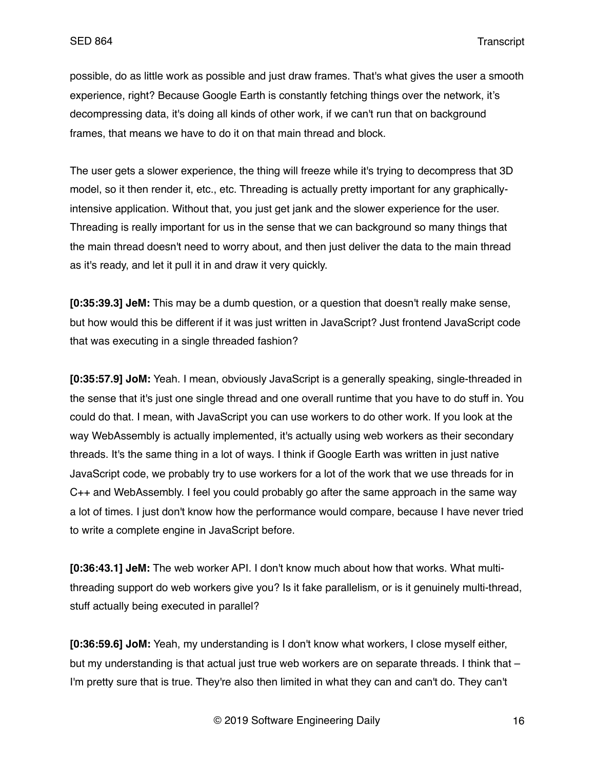possible, do as little work as possible and just draw frames. That's what gives the user a smooth experience, right? Because Google Earth is constantly fetching things over the network, it's decompressing data, it's doing all kinds of other work, if we can't run that on background frames, that means we have to do it on that main thread and block.

The user gets a slower experience, the thing will freeze while it's trying to decompress that 3D model, so it then render it, etc., etc. Threading is actually pretty important for any graphicallyintensive application. Without that, you just get jank and the slower experience for the user. Threading is really important for us in the sense that we can background so many things that the main thread doesn't need to worry about, and then just deliver the data to the main thread as it's ready, and let it pull it in and draw it very quickly.

**[0:35:39.3] JeM:** This may be a dumb question, or a question that doesn't really make sense, but how would this be different if it was just written in JavaScript? Just frontend JavaScript code that was executing in a single threaded fashion?

**[0:35:57.9] JoM:** Yeah. I mean, obviously JavaScript is a generally speaking, single-threaded in the sense that it's just one single thread and one overall runtime that you have to do stuff in. You could do that. I mean, with JavaScript you can use workers to do other work. If you look at the way WebAssembly is actually implemented, it's actually using web workers as their secondary threads. It's the same thing in a lot of ways. I think if Google Earth was written in just native JavaScript code, we probably try to use workers for a lot of the work that we use threads for in C++ and WebAssembly. I feel you could probably go after the same approach in the same way a lot of times. I just don't know how the performance would compare, because I have never tried to write a complete engine in JavaScript before.

**[0:36:43.1] JeM:** The web worker API. I don't know much about how that works. What multithreading support do web workers give you? Is it fake parallelism, or is it genuinely multi-thread, stuff actually being executed in parallel?

**[0:36:59.6] JoM:** Yeah, my understanding is I don't know what workers, I close myself either, but my understanding is that actual just true web workers are on separate threads. I think that – I'm pretty sure that is true. They're also then limited in what they can and can't do. They can't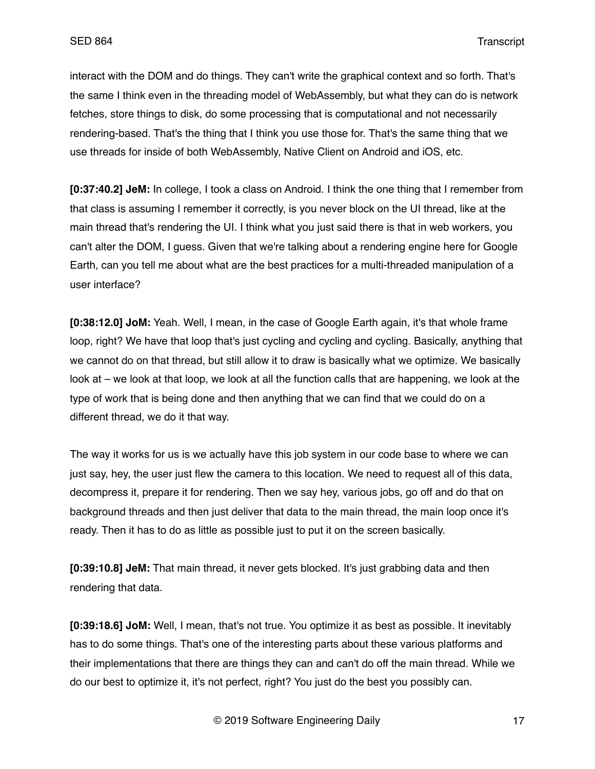interact with the DOM and do things. They can't write the graphical context and so forth. That's the same I think even in the threading model of WebAssembly, but what they can do is network fetches, store things to disk, do some processing that is computational and not necessarily rendering-based. That's the thing that I think you use those for. That's the same thing that we use threads for inside of both WebAssembly, Native Client on Android and iOS, etc.

**[0:37:40.2] JeM:** In college, I took a class on Android. I think the one thing that I remember from that class is assuming I remember it correctly, is you never block on the UI thread, like at the main thread that's rendering the UI. I think what you just said there is that in web workers, you can't alter the DOM, I guess. Given that we're talking about a rendering engine here for Google Earth, can you tell me about what are the best practices for a multi-threaded manipulation of a user interface?

**[0:38:12.0] JoM:** Yeah. Well, I mean, in the case of Google Earth again, it's that whole frame loop, right? We have that loop that's just cycling and cycling and cycling. Basically, anything that we cannot do on that thread, but still allow it to draw is basically what we optimize. We basically look at – we look at that loop, we look at all the function calls that are happening, we look at the type of work that is being done and then anything that we can find that we could do on a different thread, we do it that way.

The way it works for us is we actually have this job system in our code base to where we can just say, hey, the user just flew the camera to this location. We need to request all of this data, decompress it, prepare it for rendering. Then we say hey, various jobs, go off and do that on background threads and then just deliver that data to the main thread, the main loop once it's ready. Then it has to do as little as possible just to put it on the screen basically.

**[0:39:10.8] JeM:** That main thread, it never gets blocked. It's just grabbing data and then rendering that data.

**[0:39:18.6] JoM:** Well, I mean, that's not true. You optimize it as best as possible. It inevitably has to do some things. That's one of the interesting parts about these various platforms and their implementations that there are things they can and can't do off the main thread. While we do our best to optimize it, it's not perfect, right? You just do the best you possibly can.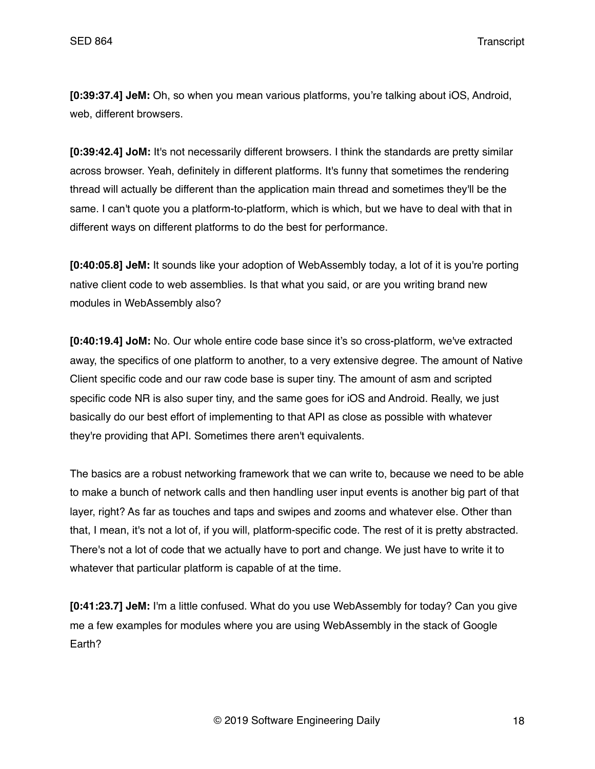**[0:39:37.4] JeM:** Oh, so when you mean various platforms, you're talking about iOS, Android, web, different browsers.

**[0:39:42.4] JoM:** It's not necessarily different browsers. I think the standards are pretty similar across browser. Yeah, definitely in different platforms. It's funny that sometimes the rendering thread will actually be different than the application main thread and sometimes they'll be the same. I can't quote you a platform-to-platform, which is which, but we have to deal with that in different ways on different platforms to do the best for performance.

**[0:40:05.8] JeM:** It sounds like your adoption of WebAssembly today, a lot of it is you're porting native client code to web assemblies. Is that what you said, or are you writing brand new modules in WebAssembly also?

**[0:40:19.4] JoM:** No. Our whole entire code base since it's so cross-platform, we've extracted away, the specifics of one platform to another, to a very extensive degree. The amount of Native Client specific code and our raw code base is super tiny. The amount of asm and scripted specific code NR is also super tiny, and the same goes for iOS and Android. Really, we just basically do our best effort of implementing to that API as close as possible with whatever they're providing that API. Sometimes there aren't equivalents.

The basics are a robust networking framework that we can write to, because we need to be able to make a bunch of network calls and then handling user input events is another big part of that layer, right? As far as touches and taps and swipes and zooms and whatever else. Other than that, I mean, it's not a lot of, if you will, platform-specific code. The rest of it is pretty abstracted. There's not a lot of code that we actually have to port and change. We just have to write it to whatever that particular platform is capable of at the time.

**[0:41:23.7] JeM:** I'm a little confused. What do you use WebAssembly for today? Can you give me a few examples for modules where you are using WebAssembly in the stack of Google Earth?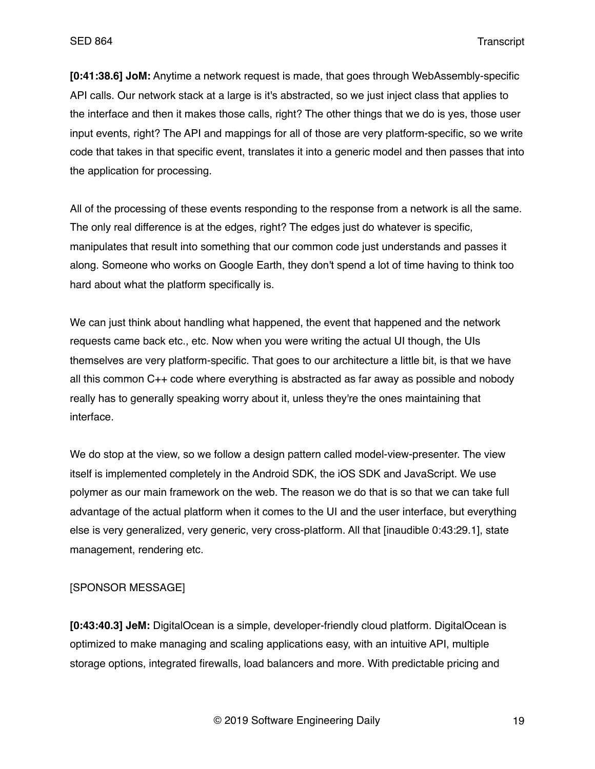**[0:41:38.6] JoM:** Anytime a network request is made, that goes through WebAssembly-specific API calls. Our network stack at a large is it's abstracted, so we just inject class that applies to the interface and then it makes those calls, right? The other things that we do is yes, those user input events, right? The API and mappings for all of those are very platform-specific, so we write code that takes in that specific event, translates it into a generic model and then passes that into the application for processing.

All of the processing of these events responding to the response from a network is all the same. The only real difference is at the edges, right? The edges just do whatever is specific, manipulates that result into something that our common code just understands and passes it along. Someone who works on Google Earth, they don't spend a lot of time having to think too hard about what the platform specifically is.

We can just think about handling what happened, the event that happened and the network requests came back etc., etc. Now when you were writing the actual UI though, the UIs themselves are very platform-specific. That goes to our architecture a little bit, is that we have all this common C++ code where everything is abstracted as far away as possible and nobody really has to generally speaking worry about it, unless they're the ones maintaining that interface.

We do stop at the view, so we follow a design pattern called model-view-presenter. The view itself is implemented completely in the Android SDK, the iOS SDK and JavaScript. We use polymer as our main framework on the web. The reason we do that is so that we can take full advantage of the actual platform when it comes to the UI and the user interface, but everything else is very generalized, very generic, very cross-platform. All that [inaudible 0:43:29.1], state management, rendering etc.

#### [SPONSOR MESSAGE]

**[0:43:40.3] JeM:** DigitalOcean is a simple, developer-friendly cloud platform. DigitalOcean is optimized to make managing and scaling applications easy, with an intuitive API, multiple storage options, integrated firewalls, load balancers and more. With predictable pricing and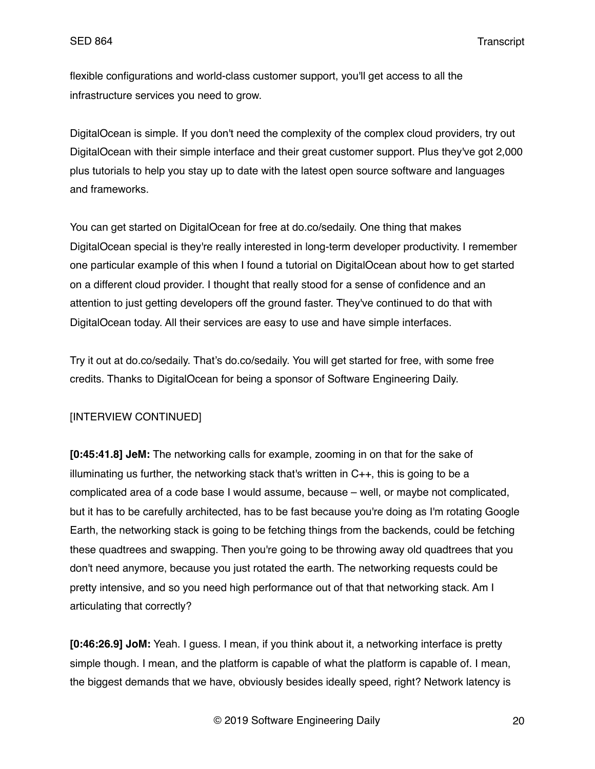flexible configurations and world-class customer support, you'll get access to all the infrastructure services you need to grow.

DigitalOcean is simple. If you don't need the complexity of the complex cloud providers, try out DigitalOcean with their simple interface and their great customer support. Plus they've got 2,000 plus tutorials to help you stay up to date with the latest open source software and languages and frameworks.

You can get started on DigitalOcean for free at do.co/sedaily. One thing that makes DigitalOcean special is they're really interested in long-term developer productivity. I remember one particular example of this when I found a tutorial on DigitalOcean about how to get started on a different cloud provider. I thought that really stood for a sense of confidence and an attention to just getting developers off the ground faster. They've continued to do that with DigitalOcean today. All their services are easy to use and have simple interfaces.

Try it out at do.co/sedaily. That's do.co/sedaily. You will get started for free, with some free credits. Thanks to DigitalOcean for being a sponsor of Software Engineering Daily.

# [INTERVIEW CONTINUED]

**[0:45:41.8] JeM:** The networking calls for example, zooming in on that for the sake of illuminating us further, the networking stack that's written in  $C_{++}$ , this is going to be a complicated area of a code base I would assume, because – well, or maybe not complicated, but it has to be carefully architected, has to be fast because you're doing as I'm rotating Google Earth, the networking stack is going to be fetching things from the backends, could be fetching these quadtrees and swapping. Then you're going to be throwing away old quadtrees that you don't need anymore, because you just rotated the earth. The networking requests could be pretty intensive, and so you need high performance out of that that networking stack. Am I articulating that correctly?

**[0:46:26.9] JoM:** Yeah. I guess. I mean, if you think about it, a networking interface is pretty simple though. I mean, and the platform is capable of what the platform is capable of. I mean, the biggest demands that we have, obviously besides ideally speed, right? Network latency is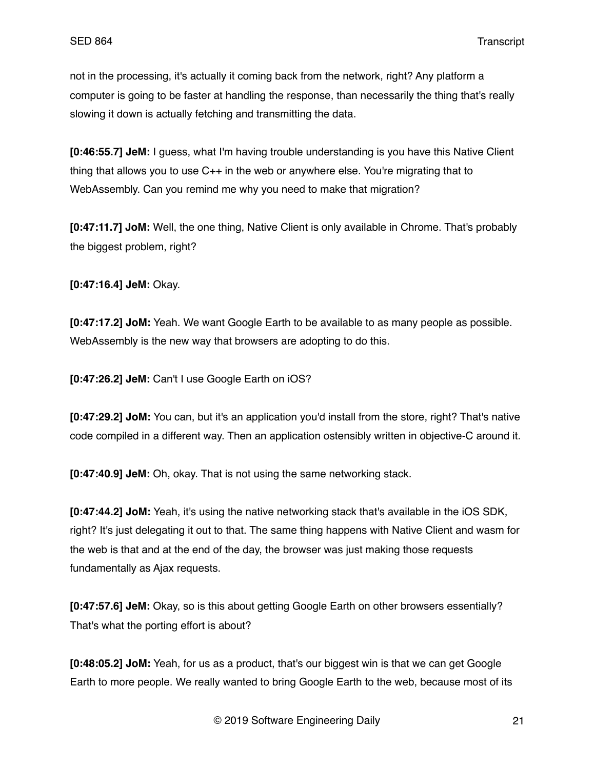not in the processing, it's actually it coming back from the network, right? Any platform a computer is going to be faster at handling the response, than necessarily the thing that's really slowing it down is actually fetching and transmitting the data.

**[0:46:55.7] JeM:** I guess, what I'm having trouble understanding is you have this Native Client thing that allows you to use C++ in the web or anywhere else. You're migrating that to WebAssembly. Can you remind me why you need to make that migration?

**[0:47:11.7] JoM:** Well, the one thing, Native Client is only available in Chrome. That's probably the biggest problem, right?

**[0:47:16.4] JeM:** Okay.

**[0:47:17.2] JoM:** Yeah. We want Google Earth to be available to as many people as possible. WebAssembly is the new way that browsers are adopting to do this.

**[0:47:26.2] JeM:** Can't I use Google Earth on iOS?

**[0:47:29.2] JoM:** You can, but it's an application you'd install from the store, right? That's native code compiled in a different way. Then an application ostensibly written in objective-C around it.

**[0:47:40.9] JeM:** Oh, okay. That is not using the same networking stack.

**[0:47:44.2] JoM:** Yeah, it's using the native networking stack that's available in the iOS SDK, right? It's just delegating it out to that. The same thing happens with Native Client and wasm for the web is that and at the end of the day, the browser was just making those requests fundamentally as Ajax requests.

**[0:47:57.6] JeM:** Okay, so is this about getting Google Earth on other browsers essentially? That's what the porting effort is about?

**[0:48:05.2] JoM:** Yeah, for us as a product, that's our biggest win is that we can get Google Earth to more people. We really wanted to bring Google Earth to the web, because most of its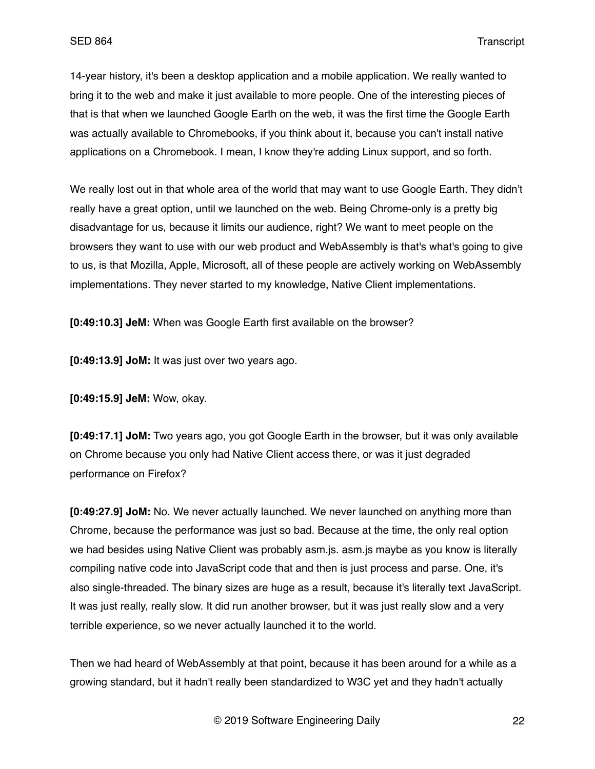14-year history, it's been a desktop application and a mobile application. We really wanted to bring it to the web and make it just available to more people. One of the interesting pieces of that is that when we launched Google Earth on the web, it was the first time the Google Earth was actually available to Chromebooks, if you think about it, because you can't install native applications on a Chromebook. I mean, I know they're adding Linux support, and so forth.

We really lost out in that whole area of the world that may want to use Google Earth. They didn't really have a great option, until we launched on the web. Being Chrome-only is a pretty big disadvantage for us, because it limits our audience, right? We want to meet people on the browsers they want to use with our web product and WebAssembly is that's what's going to give to us, is that Mozilla, Apple, Microsoft, all of these people are actively working on WebAssembly implementations. They never started to my knowledge, Native Client implementations.

**[0:49:10.3] JeM:** When was Google Earth first available on the browser?

**[0:49:13.9] JoM:** It was just over two years ago.

**[0:49:15.9] JeM:** Wow, okay.

**[0:49:17.1] JoM:** Two years ago, you got Google Earth in the browser, but it was only available on Chrome because you only had Native Client access there, or was it just degraded performance on Firefox?

**[0:49:27.9] JoM:** No. We never actually launched. We never launched on anything more than Chrome, because the performance was just so bad. Because at the time, the only real option we had besides using Native Client was probably asm.js. asm.js maybe as you know is literally compiling native code into JavaScript code that and then is just process and parse. One, it's also single-threaded. The binary sizes are huge as a result, because it's literally text JavaScript. It was just really, really slow. It did run another browser, but it was just really slow and a very terrible experience, so we never actually launched it to the world.

Then we had heard of WebAssembly at that point, because it has been around for a while as a growing standard, but it hadn't really been standardized to W3C yet and they hadn't actually

© 2019 Software Engineering Daily 22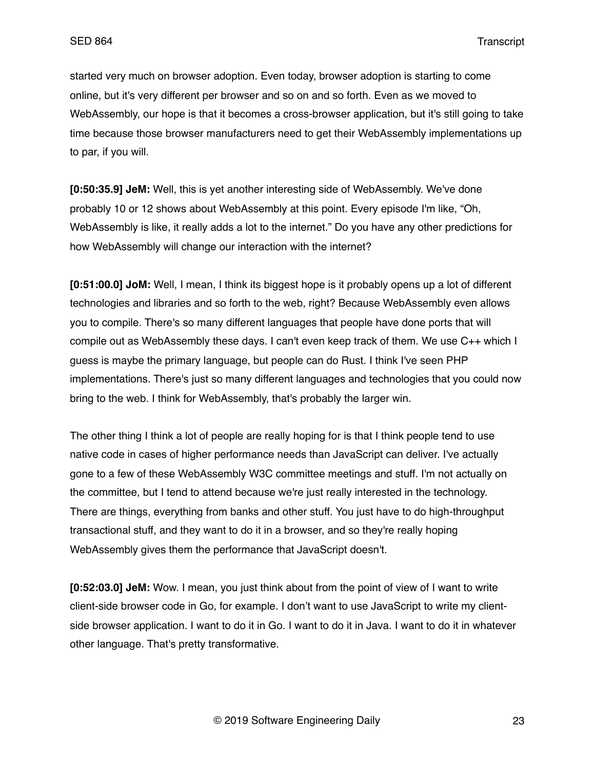started very much on browser adoption. Even today, browser adoption is starting to come online, but it's very different per browser and so on and so forth. Even as we moved to WebAssembly, our hope is that it becomes a cross-browser application, but it's still going to take time because those browser manufacturers need to get their WebAssembly implementations up to par, if you will.

**[0:50:35.9] JeM:** Well, this is yet another interesting side of WebAssembly. We've done probably 10 or 12 shows about WebAssembly at this point. Every episode I'm like, "Oh, WebAssembly is like, it really adds a lot to the internet." Do you have any other predictions for how WebAssembly will change our interaction with the internet?

**[0:51:00.0] JoM:** Well, I mean, I think its biggest hope is it probably opens up a lot of different technologies and libraries and so forth to the web, right? Because WebAssembly even allows you to compile. There's so many different languages that people have done ports that will compile out as WebAssembly these days. I can't even keep track of them. We use C++ which I guess is maybe the primary language, but people can do Rust. I think I've seen PHP implementations. There's just so many different languages and technologies that you could now bring to the web. I think for WebAssembly, that's probably the larger win.

The other thing I think a lot of people are really hoping for is that I think people tend to use native code in cases of higher performance needs than JavaScript can deliver. I've actually gone to a few of these WebAssembly W3C committee meetings and stuff. I'm not actually on the committee, but I tend to attend because we're just really interested in the technology. There are things, everything from banks and other stuff. You just have to do high-throughput transactional stuff, and they want to do it in a browser, and so they're really hoping WebAssembly gives them the performance that JavaScript doesn't.

**[0:52:03.0] JeM:** Wow. I mean, you just think about from the point of view of I want to write client-side browser code in Go, for example. I don't want to use JavaScript to write my clientside browser application. I want to do it in Go. I want to do it in Java. I want to do it in whatever other language. That's pretty transformative.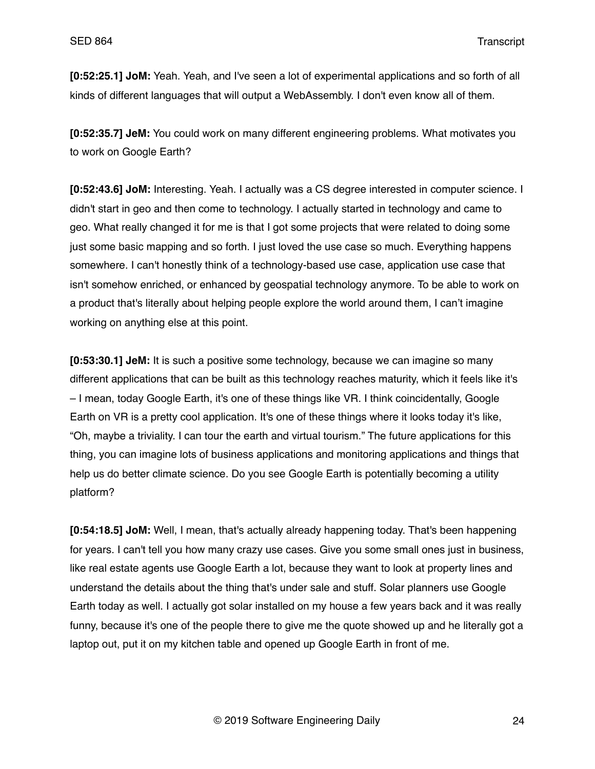**[0:52:25.1] JoM:** Yeah. Yeah, and I've seen a lot of experimental applications and so forth of all kinds of different languages that will output a WebAssembly. I don't even know all of them.

**[0:52:35.7] JeM:** You could work on many different engineering problems. What motivates you to work on Google Earth?

**[0:52:43.6] JoM:** Interesting. Yeah. I actually was a CS degree interested in computer science. I didn't start in geo and then come to technology. I actually started in technology and came to geo. What really changed it for me is that I got some projects that were related to doing some just some basic mapping and so forth. I just loved the use case so much. Everything happens somewhere. I can't honestly think of a technology-based use case, application use case that isn't somehow enriched, or enhanced by geospatial technology anymore. To be able to work on a product that's literally about helping people explore the world around them, I can't imagine working on anything else at this point.

**[0:53:30.1] JeM:** It is such a positive some technology, because we can imagine so many different applications that can be built as this technology reaches maturity, which it feels like it's – I mean, today Google Earth, it's one of these things like VR. I think coincidentally, Google Earth on VR is a pretty cool application. It's one of these things where it looks today it's like, "Oh, maybe a triviality. I can tour the earth and virtual tourism." The future applications for this thing, you can imagine lots of business applications and monitoring applications and things that help us do better climate science. Do you see Google Earth is potentially becoming a utility platform?

**[0:54:18.5] JoM:** Well, I mean, that's actually already happening today. That's been happening for years. I can't tell you how many crazy use cases. Give you some small ones just in business, like real estate agents use Google Earth a lot, because they want to look at property lines and understand the details about the thing that's under sale and stuff. Solar planners use Google Earth today as well. I actually got solar installed on my house a few years back and it was really funny, because it's one of the people there to give me the quote showed up and he literally got a laptop out, put it on my kitchen table and opened up Google Earth in front of me.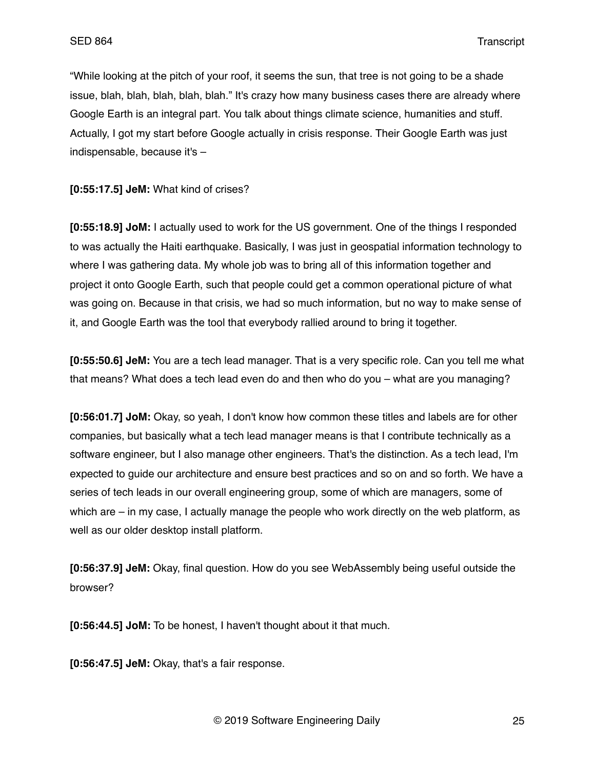"While looking at the pitch of your roof, it seems the sun, that tree is not going to be a shade issue, blah, blah, blah, blah, blah." It's crazy how many business cases there are already where Google Earth is an integral part. You talk about things climate science, humanities and stuff. Actually, I got my start before Google actually in crisis response. Their Google Earth was just indispensable, because it's –

**[0:55:17.5] JeM:** What kind of crises?

**[0:55:18.9] JoM:** I actually used to work for the US government. One of the things I responded to was actually the Haiti earthquake. Basically, I was just in geospatial information technology to where I was gathering data. My whole job was to bring all of this information together and project it onto Google Earth, such that people could get a common operational picture of what was going on. Because in that crisis, we had so much information, but no way to make sense of it, and Google Earth was the tool that everybody rallied around to bring it together.

**[0:55:50.6] JeM:** You are a tech lead manager. That is a very specific role. Can you tell me what that means? What does a tech lead even do and then who do you – what are you managing?

**[0:56:01.7] JoM:** Okay, so yeah, I don't know how common these titles and labels are for other companies, but basically what a tech lead manager means is that I contribute technically as a software engineer, but I also manage other engineers. That's the distinction. As a tech lead, I'm expected to guide our architecture and ensure best practices and so on and so forth. We have a series of tech leads in our overall engineering group, some of which are managers, some of which are – in my case, I actually manage the people who work directly on the web platform, as well as our older desktop install platform.

**[0:56:37.9] JeM:** Okay, final question. How do you see WebAssembly being useful outside the browser?

**[0:56:44.5] JoM:** To be honest, I haven't thought about it that much.

**[0:56:47.5] JeM:** Okay, that's a fair response.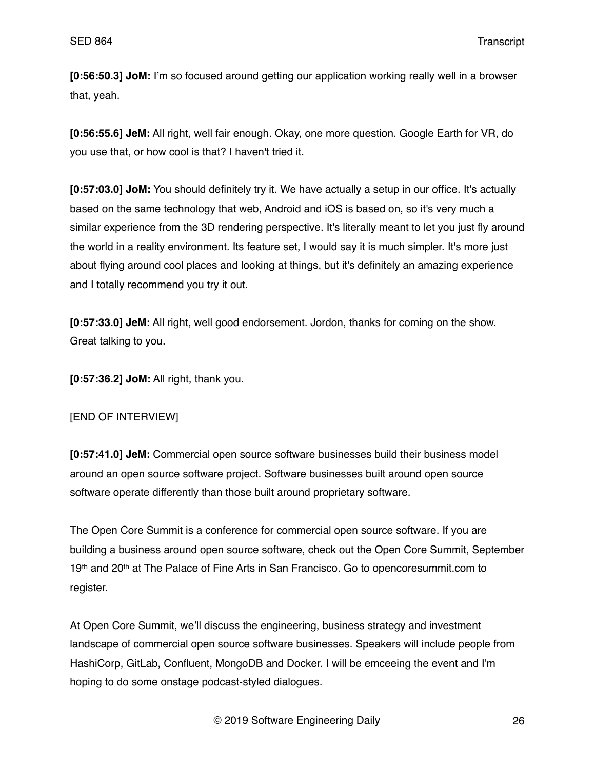**[0:56:50.3] JoM:** I'm so focused around getting our application working really well in a browser that, yeah.

**[0:56:55.6] JeM:** All right, well fair enough. Okay, one more question. Google Earth for VR, do you use that, or how cool is that? I haven't tried it.

**[0:57:03.0] JoM:** You should definitely try it. We have actually a setup in our office. It's actually based on the same technology that web, Android and iOS is based on, so it's very much a similar experience from the 3D rendering perspective. It's literally meant to let you just fly around the world in a reality environment. Its feature set, I would say it is much simpler. It's more just about flying around cool places and looking at things, but it's definitely an amazing experience and I totally recommend you try it out.

**[0:57:33.0] JeM:** All right, well good endorsement. Jordon, thanks for coming on the show. Great talking to you.

**[0:57:36.2] JoM:** All right, thank you.

# [END OF INTERVIEW]

**[0:57:41.0] JeM:** Commercial open source software businesses build their business model around an open source software project. Software businesses built around open source software operate differently than those built around proprietary software.

The Open Core Summit is a conference for commercial open source software. If you are building a business around open source software, check out the Open Core Summit, September 19<sup>th</sup> and 20<sup>th</sup> at The Palace of Fine Arts in San Francisco. Go to opencoresummit.com to register.

At Open Core Summit, we'll discuss the engineering, business strategy and investment landscape of commercial open source software businesses. Speakers will include people from HashiCorp, GitLab, Confluent, MongoDB and Docker. I will be emceeing the event and I'm hoping to do some onstage podcast-styled dialogues.